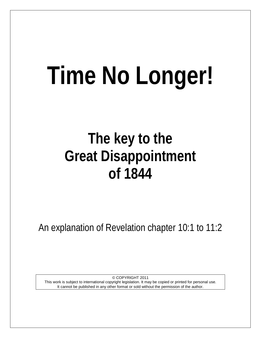# **Time No Longer!**

# **The key to the Great Disappointment of 1844**

An explanation of Revelation chapter 10:1 to 11:2

© COPYRIGHT 2011 This work is subject to international copyright legislation. It may be copied or printed for personal use. It cannot be published in any other format or sold without the permission of the author.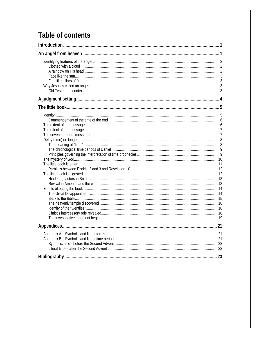# Table of contents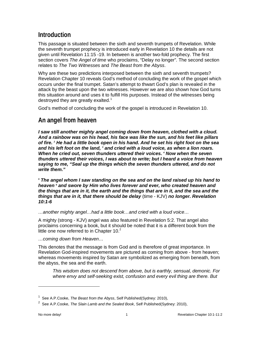# <span id="page-2-0"></span>**Introduction**

This passage is situated between the sixth and seventh trumpets of Revelation. While the seventh trumpet prophecy is introduced early in Revelation 10 the details are not given until Revelation 11:15 -19. In between is another two-fold prophecy. The first section covers *The Angel of time* who proclaims, "Delay no longer"*.* The second section relates to *The Two Witnesses* and *The Beast from the Abyss*.

Why are these two predictions interposed between the sixth and seventh trumpets? Revelation Chapter 10 reveals God's method of concluding the work of the gospel which occurs under the final trumpet. Satan's attempt to thwart God's plan is revealed in the attack by the beast upon the two witnesses. However we are also shown how God turns this situation around and uses it to fulfill His purposes. Instead of the witnesses being destroyed they are greatly exalted.<sup>[1](#page-2-2)</sup>

God's method of concluding the work of the gospel is introduced in Revelation 10.

# <span id="page-2-1"></span>**An angel from heaven**

*I saw still another mighty angel coming down from heaven, clothed with a cloud. And a rainbow was on his head, his face was like the sun, and his feet like pillars of fire. 2 He had a little book open in his hand. And he set his right foot on the sea and his left foot on the land, 3 and cried with a loud voice, as when a lion roars. When he cried out, seven thunders uttered their voices. 4 Now when the seven thunders uttered their voices, I was about to write; but I heard a voice from heaven saying to me, "Seal up the things which the seven thunders uttered, and do not write them."*

*<sup>5</sup> The angel whom I saw standing on the sea and on the land raised up his hand to heaven 6 and swore by Him who lives forever and ever, who created heaven and the things that are in it, the earth and the things that are in it, and the sea and the things that are in it, that there should be delay* (time - KJV) *no longer. Revelation 10:1-6*

*…another mighty angel…had a little book…and cried with a loud voice…*

A mighty (strong - KJV) angel was also featured in Revelation 5:2. That angel also proclaims concerning a book, but it should be noted that it is a different book from the little one now referred to in Chapter 10. $2<sup>2</sup>$  $2<sup>2</sup>$ 

*…coming down from Heaven…*

This denotes that the message is from God and is therefore of great importance. In Revelation God-inspired movements are pictured as coming from above - from heaven; whereas movements inspired by Satan are symbolized as emerging from beneath, from the abyss, the sea and the earth.

*This wisdom does not descend from above, but is earthly, sensual, demonic. For where envy and self-seeking exist, confusion and every evil thing are there. But* 

<span id="page-2-2"></span><sup>&</sup>lt;sup>1</sup> See A.P.Cooke, The Beast from the Abyss, Self Published(Sydney: 2010),

<span id="page-2-3"></span><sup>2</sup> See A.P.Cooke, *The Slain Lamb and the Sealed Book*, Self Published(Sydney: 2010),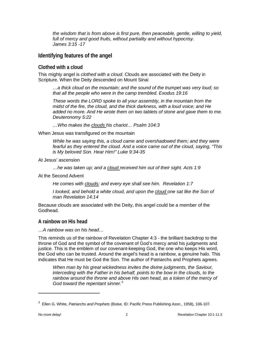*the wisdom that is from above is first pure, then peaceable, gentle, willing to yield, full of mercy and good fruits, without partiality and without hypocrisy. James 3:15 -17*

#### <span id="page-3-0"></span>**Identifying features of the angel**

#### <span id="page-3-1"></span>**Clothed with a cloud**

This mighty angel is *clothed with a cloud*. Clouds are associated with the Deity in Scripture. When the Deity descended on Mount Sinai

*…a thick cloud on the mountain; and the sound of the trumpet was very loud; so that all the people who were in the camp trembled. Exodus 19:16*

*These words the LORD spoke to all your assembly, in the mountain from the midst of the fire, the cloud, and the thick darkness, with a loud voice; and He added no more. And He wrote them on two tablets of stone and gave them to me. Deuteronomy 5:22*

*…Who makes the clouds his chariot… Psalm 104:3*

When Jesus was transfigured on the mountain

*While he was saying this, a cloud came and overshadowed them; and they were fearful as they entered the cloud. And a voice came out of the cloud, saying, "This is My beloved Son. Hear Him!" Luke 9:34-35*

At Jesus' ascension

*…he was taken up; and a cloud received him out of their sight. Acts 1:9*

At the Second Advent

*He comes with clouds; and every eye shall see him. Revelation 1:7* 

*I looked, and behold a white cloud, and upon the cloud one sat like the Son of man Revelation 14:14*

Because clouds are associated with the Deity, this angel could be a member of the Godhead.

#### <span id="page-3-2"></span>**A rainbow on His head**

*…A rainbow was on his head…*

This reminds us of the rainbow of Revelation Chapter 4:3 - the brilliant backdrop to the throne of God and the symbol of the covenant of God's mercy amid his judgments and justice. This is the emblem of our covenant-keeping God, the one who keeps His word, the God who can be trusted. Around the angel's head is a rainbow, a genuine halo. This indicates that He must be God the Son. The author of Patriarchs and Prophets agrees.

*When man by his great wickedness invites the divine judgments, the Saviour, interceding with the Father in his behalf, points to the bow in the clouds, to the*  rainbow around the throne and above His own head, as a token of the mercy of *God toward the repentant sinner.*[3](#page-3-3)

<span id="page-3-3"></span><sup>3</sup> Ellen G. White, *Patriarchs and Prophets* (Boise, ID: Pacific Press Publishing Assn., 1958), 106-107.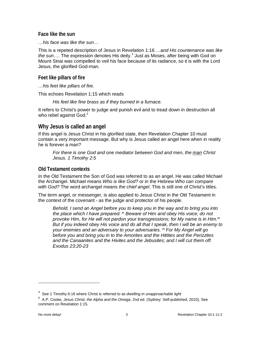<span id="page-4-0"></span>**Face like the sun**

*…his face was like the sun…*

This is a repeted description of Jesus in Revelation 1:16 …a*nd His countenance was like the sun*…. The expression denotes His deity. [4](#page-4-4) Just as Moses, after being with God on Mount Sinai was compelled to veil his face because of its radiance, so it is with the Lord Jesus, the glorified God-man.

<span id="page-4-1"></span>**Feet like pillars of fire**

*…his feet like pillars of fire.*

This echoes Revelation 1:15 which reads

*His feet like fine brass as if they burned in a furnace.*

It refers to Christ's power to judge and punish evil and to tread down in destruction all who rebel against God.<sup>[5](#page-4-5)</sup>

#### <span id="page-4-2"></span>**Why Jesus is called an angel**

If this angel is Jesus Christ in his glorified state, then Revelation Chapter 10 must contain a very important message. But why is Jesus called an angel here when in reality he is forever a man?

*For there is one God and one mediator between God and men, the man Christ Jesus. 1 Timothy 2:5*

#### <span id="page-4-3"></span>**Old Testament contexts**

In the Old Testament the Son of God was referred to as an angel. He was called Michael the Archangel. Michael means *Who is like God?* or in the Hebrew *Who can compare with God?* The word archangel means *the chief angel*. This is still one of Christ's titles.

The term angel, or messenger, is also applied to Jesus Christ in the Old Testament in the context of the covenant - as the judge and protector of his people.

*Behold, I send an Angel before you to keep you in the way and to bring you into the place which I have prepared. <sup>21</sup> Beware of Him and obey His voice; do not provoke Him, for He will not pardon your transgressions; for My name is in Him.<sup>22</sup> But if you indeed obey His voice and do all that I speak, then I will be an enemy to your enemies and an adversary to your adversaries. <sup>23</sup> For My Angel will go before you and bring you in to the Amorites and the Hittites and the Perizzites and the Canaanites and the Hivites and the Jebusites; and I will cut them off. Exodus 23:20-23*

<span id="page-4-4"></span><sup>4</sup> See 1 Timothy 6:16 where Christ is referred to as *dwelling in unapproachable light*

<span id="page-4-5"></span><sup>5</sup> A.P. Cooke, *Jesus Christ, the Alpha and the Omega*, 2nd ed. (Sydney: Self-published, 2010), See comment on Revelation 1:15.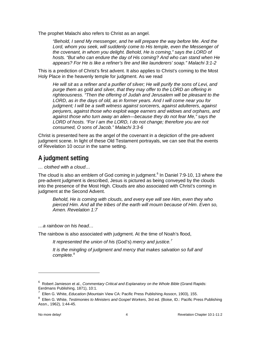The prophet Malachi also refers to Christ as an angel.

*"Behold, I send My messenger, and he will prepare the way before Me. And the*  Lord, whom you seek, will suddenly come to His temple, even the Messenger of *the covenant, in whom you delight. Behold, He is coming," says the LORD of hosts. "But who can endure the day of His coming? And who can stand when He appears? For He is like a refiner's fire and like launderers' soap." Malachi 3:1-2* 

This is a prediction of Christ's first advent. It also applies to Christ's coming to the Most Holy Place in the heavenly temple for judgment. As we read

*He will sit as a refiner and a purifier of silver; He will purify the sons of Levi, and purge them as gold and silver, that they may offer to the LORD an offering in righteousness. "Then the offering of Judah and Jerusalem will be pleasant to the LORD, as in the days of old, as in former years. And I will come near you for judgment; I will be a swift witness against sorcerers, against adulterers, against perjurers, against those who exploit wage earners and widows and orphans, and against those who turn away an alien—because they do not fear Me," says the LORD of hosts. "For I am the LORD, I do not change; therefore you are not consumed, O sons of Jacob." Malachi 3:3-6* 

Christ is presented here as the angel of the covenant in a depiction of the pre-advent judgment scene. In light of these Old Testament portrayals, we can see that the events of Revelation 10 occur in the same setting.

# <span id="page-5-0"></span>**A judgment setting**

*… clothed with a cloud…*

The cloud is also an emblem of God coming in judgment. [6](#page-5-1) In Daniel 7:9-10, 13 where the pre-advent judgment is described, Jesus is pictured as being conveyed by the clouds into the presence of the Most High. Clouds are also associated with Christ's coming in judgment at the Second Advent.

*Behold, He is coming with clouds, and every eye will see Him, even they who pierced Him. And all the tribes of the earth will mourn because of Him. Even so, Amen. Revelation 1:7*

*…a rainbow on his head…*

The rainbow is also associated with judgment. At the time of Noah's flood,

*It represented the union of his* (God's) *mercy and justice.[7](#page-5-2)* 

*It is the mingling of judgment and mercy that makes salvation so full and complete.*[8](#page-5-3)

<span id="page-5-1"></span><sup>&</sup>lt;sup>6</sup> Robert Jamieson et al., *Commentary Critical and Explanatory on the Whole Bible* (Grand Rapids: Eerdmans Publishing, 1871), 10:1.

<sup>&</sup>lt;sup>7</sup> Ellen G. White, *Education* (Mountain View CA: Pacific Press Publishing Assocn, 1903), 155.

<span id="page-5-3"></span><span id="page-5-2"></span><sup>8</sup> Ellen G. White, *Testimonies to Ministers and Gospel Workers*, 3rd ed. (Boise, ID.: Pacific Press Publishing Assn., 1962), 1:44-45.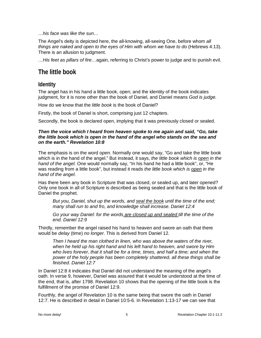*…his face was like the sun…*

The Angel's deity is depicted here, the all-knowing, all-seeing One, before whom *all things are naked and open to the eyes of Him with whom we have to do* (Hebrews 4:13). There is an allusion to judgment.

*…His feet as pillars of fire…*again, referring to Christ's power to judge and to punish evil.

# <span id="page-6-0"></span>**The little book**

#### <span id="page-6-1"></span>**Identity**

The angel has in his hand a little book, open; and the identity of the book indicates judgment, for it is none other than the book of Daniel, and Daniel means *God is judge.*

How do we know that the *little book* is the book of Daniel?

Firstly, the book of Daniel is short, comprising just 12 chapters.

Secondly, the book is declared open, implying that it was previously closed or sealed.

#### *Then the voice which I heard from heaven spoke to me again and said, "Go, take the little book which is open in the hand of the angel who stands on the sea and on the earth." Revelation 10:8*

The emphasis is on the word *open*. Normally one would say, "Go and take the little book which is in the hand of the angel." But instead, it says, *the little book which is open in the hand of the angel.* One would normally say, "In his hand he had a little book", or, "He was reading from a little book", but instead it reads *the little book which is open in the hand of the angel*.

Has there been any book in Scripture that was closed, or sealed up, and later opened? Only one book in all of Scripture is described as being sealed and that is the little book of Daniel the prophet.

*But you, Daniel, shut up the words, and seal the book until the time of the end; many shall run to and fro, and knowledge shall increase. Daniel 12:4*

*Go your way Daniel: for the words are closed up and sealed till the time of the end. Daniel 12:9*

Thirdly, remember the angel raised his hand to heaven and swore an oath that there would be *delay* (time) *no longer.* This is derived from Daniel 12.

*Then I heard the man clothed in linen, who was above the waters of the river, when he held up his right hand and his left hand to heaven, and swore by Him who lives forever, that it shall be for a time, times, and half a time; and when the power of the holy people has been completely shattered, all these things shall be finished. Daniel 12:7*

In Daniel 12:8 it indicates that Daniel did not understand the meaning of the angel's oath. In verse 9, however, Daniel was assured that it would be understood at the time of the end, that is, after 1798. Revelation 10 shows that the opening of the little book is the fulfillment of the promise of Daniel 12:9.

Fourthly, the angel of Revelation 10 is the same being that swore the oath in Daniel 12:7. He is described in detail in Daniel 10:5-6. In Revelation 1:13-17 we can see that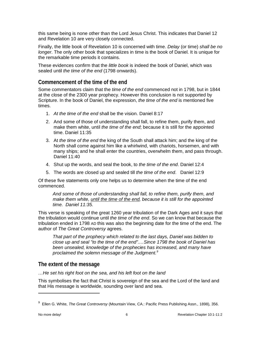this same being is none other than the Lord Jesus Christ. This indicates that Daniel 12 and Revelation 10 are very closely connected.

Finally, the little book of Revelation 10 is concerned with time. *Delay* (or time) *shall be no longer*. The only other book that specializes in time is the book of Daniel. It is unique for the remarkable time periods it contains.

These evidences confirm that the *little book* is indeed the book of Daniel, which was sealed until *the time of the end* (1798 onwards).

#### <span id="page-7-0"></span>**Commencement of the time of the end**

Some commentators claim that the *time of the end* commenced not in 1798, but in 1844 at the close of the 2300 year prophecy. However this conclusion is not supported by Scripture. In the book of Daniel, the expression, *the time of the end* is mentioned five times.

- 1. *At the time of the end* shall be the vision. Daniel 8:17
- 2. And some of those of understanding shall fall, to refine them, purify them, and make them white, until *the time of the end*; because it is still for the appointed time. Daniel 11:35
- 3. At *the time of the end* the king of the South shall attack him; and the king of the North shall come against him like a whirlwind, with chariots, horsemen, and with many ships; and he shall enter the countries, overwhelm them, and pass through. Daniel 11:40
- 4. Shut up the words, and seal the book, to *the time of the end*. Daniel 12:4
- 5. The words are closed up and sealed till *the time of the end*. Daniel 12:9

Of these five statements only one helps us to determine when the time of the end commenced.

*And some of those of understanding shall fall, to refine them, purify them, and make them white, until the time of the end, because it is still for the appointed time. Daniel 11:35.*

This verse is speaking of the great 1260 year tribulation of the Dark Ages and it says that the tribulation would continue until *the time of the end*. So we can know that because the tribulation ended in 1798 AD this was also the beginning date for the time of the end. The author of *The Great Controversy* agrees.

*That part of the prophecy which related to the last days, Daniel was bidden to close up and seal "to the time of the end".…Since 1798 the book of Daniel has been unsealed, knowledge of the prophecies has increased, and many have proclaimed the solemn message of the Judgment.[9](#page-7-2)*

#### <span id="page-7-1"></span>**The extent of the message**

*…He set his right foot on the sea, and his left foot on the land*

This symbolises the fact that Christ is sovereign of the sea and the Lord of the land and that His message is worldwide, sounding over land and sea.

<span id="page-7-2"></span><sup>&</sup>lt;sup>9</sup> Ellen G. White, *The Great Controversy* (Mountain View, CA.: Pacific Press Publishing Assn., 1898), 356.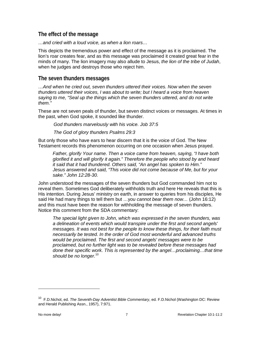#### <span id="page-8-0"></span>**The effect of the message**

*…and cried with a loud voice, as when a lion roars…*

This depicts the tremendous power and effect of the message as it is proclaimed. The lion's roar creates fear, and as this message was proclaimed it created great fear in the minds of many. The lion imagery may also allude to Jesus, *the lion of the tribe of Judah*, when he judges and destroys those who reject him.

#### <span id="page-8-1"></span>**The seven thunders messages**

*…And when he cried out, seven thunders uttered their voices. Now when the seven thunders uttered their voices, I was about to write; but I heard a voice from heaven saying to me, "Seal up the things which the seven thunders uttered, and do not write them."*

These are not seven peals of thunder, but seven distinct voices or messages. At times in the past, when God spoke, it sounded like thunder.

*God thunders marvelously with his voice. Job 37:5*

*The God of glory thunders Psalms 29:3*

But only those who have ears to hear discern that it is the voice of God. The New Testament records this phenomenon occurring on one occasion when Jesus prayed.

*Father, glorify Your name. Then a voice came from heaven, saying, "I have both glorified it and will glorify it again." Therefore the people who stood by and heard it said that it had thundered. Others said, "An angel has spoken to Him." Jesus answered and said, "This voice did not come because of Me, but for your sake." John 12:28-30.*

John understood the messages of the seven thunders but God commanded him not to reveal them. Sometimes God deliberately withholds truth and here He reveals that this is His intention. During Jesus' ministry on earth, in answer to queries from his disciples, He said He had many things to tell them but …y*ou cannot bear them now…* (John 16:12) and this must have been the reason for withholding the message of seven thunders. Notice this comment from the SDA commentary:

*The special light given to John, which was expressed in the seven thunders, was a delineation of events which would transpire under the first and second angels' messages. It was not best for the people to know these things, for their faith must necessarily be tested. In the order of God most wonderful and advanced truths would be proclaimed. The first and second angels' messages were to be proclaimed, but no further light was to be revealed before these messages had done their specific work. This is represented by the angel…proclaiming…that time should be no longer.*[10](#page-8-2)

<span id="page-8-2"></span><sup>10</sup> F.D.Nichol, ed. *The Seventh-Day Adventist Bible Commentary*, ed. F.D.Nichol (Washington DC: Review and Herald Publishing Assn., 1957), 7:971.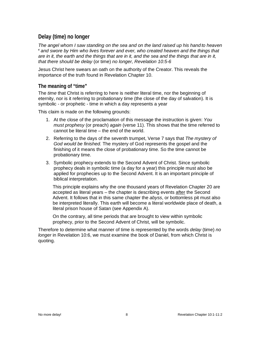#### <span id="page-9-0"></span>**Delay (time) no longer**

*The angel whom I saw standing on the sea and on the land raised up his hand to heaven <sup>6</sup> and swore by Him who lives forever and ever, who created heaven and the things that are in it, the earth and the things that are in it, and the sea and the things that are in it, that there should be delay* (or time) *no longer, Revelation 10:5-6*

Jesus Christ here swears an oath on the authority of the Creator. This reveals the importance of the truth found in Revelation Chapter 10.

#### <span id="page-9-1"></span>**The meaning of "time"**

The *time* that Christ is referring to here is neither literal time, nor the beginning of eternity, nor is it referring to probationary time (the close of the day of salvation). It is symbolic - or prophetic - time in which a day represents a year

This claim is made on the following grounds:

- 1. At the close of the proclamation of this message the instruction is given: *You must prophesy* (or preach) *again* (verse 11). This shows that the time referred to cannot be literal time – the end of the world.
- 2. Referring to the days of the seventh trumpet, Verse 7 says that *The mystery of God would be finished.* The mystery of God represents the gospel and the finishing of it means the close of probationary time. So the time cannot be probationary time.
- 3. Symbolic prophecy extends to the Second Advent of Christ. Since symbolic prophecy deals in symbolic time (a day for a year) this principle must also be applied for prophecies up to the Second Advent. It is an important principle of biblical interpretation.

This principle explains why the one thousand years of Revelation Chapter 20 are accepted as literal years – the chapter is describing events after the Second Advent. It follows that in this same chapter the *abyss*, or bottomless pit must also be interpreted literally. This earth will become a literal worldwide place of death, a literal prison house of Satan (see Appendix A).

On the contrary, all time periods that are brought to view within symbolic prophecy, prior to the Second Advent of Christ, will be symbolic.

Therefore to determine what manner of time is represented by the words *delay* (time) *no longer* in Revelation 10:6, we must examine the book of Daniel, from which Christ is quoting.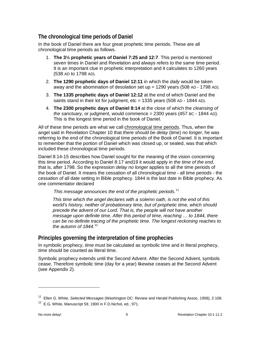#### <span id="page-10-0"></span>**The chronological time periods of Daniel**

In the book of Daniel there are four great prophetic time periods. These are all chronological time periods as follows.

- 1. **The 3½ prophetic years of Daniel 7:25 and 12:7**. This period is mentioned seven times in Daniel and Revelation and always refers to the same time period. It is an important clue in prophetic interpretation and it calculates to 1260 years (538 AD to 1798 AD).
- 2. **The 1290 prophetic days of Daniel 12:11** in which the *daily* would be taken away and the abomination of desolation set up = 1290 years (508 AD - 1798 AD).
- 3. **The 1335 prophetic days of Daniel 12:12** at the end of which Daniel and the saints stand in their lot for judgment,  $\text{etc} = 1335$  years (508 AD - 1844 AD).
- 4. **The 2300 prophetic days of Daniel 8:14** at the close of which the *cleansing of the sanctuary,* or judgment, would commence = 2300 years (457 BC - 1844 AD). This is the longest time period in the book of Daniel.

All of these time periods are what we call chronological time periods. Thus, when the angel said in Revelation Chapter 10 that *there should be delay* (time) *no longer*, he was referring to the end of the chronological time periods of the Book of Daniel. It is important to remember that the portion of Daniel which was closed up, or sealed, was that which included these chronological time periods.

Daniel 8:14-15 describes how Daniel sought for the meaning of the vision concerning this time period. According to Daniel 8:17 and19 it would apply in *the time of the end*, that is, after 1798. So the expression *delay no longer* applies to all the time periods of the book of Daniel. It means the cessation of all chronological time - all time periods - the cessation of all date setting in Bible prophecy. 1844 is the last date in Bible prophecy. As one commentator declared

*This message announces the end of the prophetic periods.*[11](#page-10-2)

*This time which the angel declares with a solemn oath, is not the end of this world's history, neither of probationary time, but of prophetic time, which should precede the advent of our Lord. That is, the people will not have another message upon definite time. After this period of time, reaching … to 1844, there can be no definite tracing of the prophetic time. The longest reckoning reaches to the autumn of 1844.*[12](#page-10-3)

#### <span id="page-10-1"></span>**Principles governing the interpretation of time prophecies**

In symbolic prophecy, *time* must be calculated as symbolic time and in literal prophecy, *time* should be counted as literal time.

Symbolic prophecy extends until the Second Advent. After the Second Advent, symbols cease. Therefore symbolic time (day for a year) likewise ceases at the Second Advent (see Appendix 2).

<span id="page-10-2"></span><sup>11</sup> Ellen G. White, *Selected Messages* (Washington DC: Review and Herald Publishing Assoc, 1958), 2:108.

<span id="page-10-3"></span><sup>&</sup>lt;sup>12</sup> E.G. White, Manuscript 59, 1900 in F.D. Nichol, ed., 971.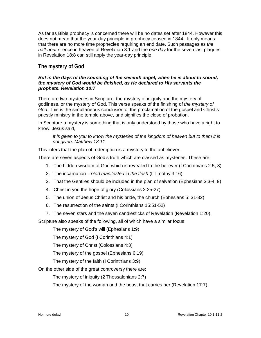As far as Bible prophecy is concerned there will be no dates set after 1844. However this does not mean that the year-day principle in prophecy ceased in 1844. It only means that there are no more time prophecies requiring an end date. Such passages as *the half-hour* silence in heaven of Revelation 8:1 and the *one day* for the seven last plagues in Revelation 18:8 can still apply the year-day principle.

#### <span id="page-11-0"></span>**The mystery of God**

#### *But in the days of the sounding of the seventh angel, when he is about to sound, the mystery of God would be finished, as He declared to His servants the prophets. Revelation 10:7*

There are two mysteries in Scripture: the mystery of iniquity and the mystery of godliness, or the mystery of God. This verse speaks of the finishing of *the mystery of God*. This is the simultaneous conclusion of the proclamation of the gospel and Christ's priestly ministry in the temple above, and signifies the close of probation.

In Scripture a mystery is something that is only understood by those who have a right to know. Jesus said,

*It is given to you to know the mysteries of the kingdom of heaven but to them it is not given. Matthew 13:11*

This infers that the plan of redemption is a mystery to the unbeliever.

There are seven aspects of God's truth which are classed as mysteries. These are:

- 1. The hidden wisdom of God which is revealed to the believer (I Corinthians 2:5, 8)
- 2. The incarnation *God manifested in the flesh* (I Timothy 3:16)
- 3. That the Gentiles should be included in the plan of salvation (Ephesians 3:3-4, 9)
- 4. Christ in you the hope of glory (Colossians 2:25-27)
- 5. The union of Jesus Christ and his bride, the church (Ephesians 5: 31-32)
- 6. The resurrection of the saints (I Corinthians 15:51-52)
- 7. The seven stars and the seven candlesticks of Revelation (Revelation 1:20).

Scripture also speaks of the following, all of which have a similar focus:

The mystery of God's will (Ephesians 1:9)

The mystery of God (I Corinthians 4:1)

The mystery of Christ (Colossians 4:3)

The mystery of the gospel (Ephesians 6:19)

The mystery of the faith (I Corinthians 3:9).

On the other side of the great controversy there are:

The mystery of iniquity (2 Thessalonians 2:7)

The mystery of the woman and the beast that carries her (Revelation 17:7).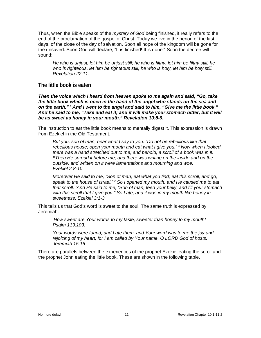Thus, when the Bible speaks of the *mystery of God* being finished, it really refers to the end of the proclamation of the gospel of Christ. Today we live in the period of the last days, of the close of the day of salvation. Soon all hope of the kingdom will be gone for the unsaved. Soon God will declare, "It is finished! It is done!" Soon the decree will sound:

*He who is unjust, let him be unjust still; he who is filthy, let him be filthy still; he who is righteous, let him be righteous still; he who is holy, let him be holy still. Revelation 22:11.*

#### <span id="page-12-0"></span>**The little book is eaten**

*Then the voice which I heard from heaven spoke to me again and said, "Go, take the little book which is open in the hand of the angel who stands on the sea and on the earth." 9 And I went to the angel and said to him, "Give me the little book." And he said to me, "Take and eat it; and it will make your stomach bitter, but it will be as sweet as honey in your mouth." Revelation 10:8-9.*

The instruction to *eat* the little book means to mentally digest it. This expression is drawn from Ezekiel in the Old Testament.

*But you, son of man, hear what I say to you. "Do not be rebellious like that rebellious house; open your mouth and eat what I give you." <sup>9</sup> Now when I looked, there was a hand stretched out to me; and behold, a scroll of a book was in it. <sup>10</sup>Then He spread it before me; and there was writing on the inside and on the outside, and written on it were lamentations and mourning and woe. Ezekiel 2:8-10* 

*Moreover He said to me, "Son of man, eat what you find; eat this scroll, and go, speak to the house of Israel." <sup>2</sup> So I opened my mouth, and He caused me to eat that scroll. <sup>3</sup> And He said to me, "Son of man, feed your belly, and fill your stomach with this scroll that I give you." So I ate, and it was in my mouth like honey in sweetness. Ezekiel 3:1-3*

This tells us that God's word is sweet to the soul. The same truth is expressed by Jeremiah:

*How sweet are Your words to my taste, sweeter than honey to my mouth! Psalm 119:103.*

*Your words were found, and I ate them, and Your word was to me the joy and rejoicing of my heart; for I am called by Your name, O LORD God of hosts. Jeremiah 15:16*

There are parallels between the experiences of the prophet Ezekiel eating the scroll and the prophet John eating the little book. These are shown in the following table.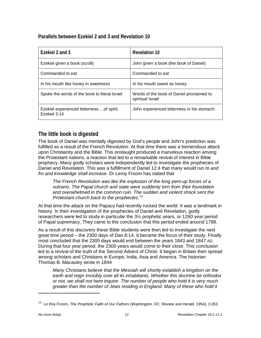#### <span id="page-13-0"></span>**Parallels between Ezekiel 2 and 3 and Revelation 10**

| Ezekiel 2 and 3                                          | <b>Revelation 10</b>                                          |
|----------------------------------------------------------|---------------------------------------------------------------|
| Ezekiel given a book (scroll)                            | John given a book (the book of Daniel)                        |
| Commanded to eat                                         | Commanded to eat                                              |
| In his mouth like honey in sweetness                     | In his mouth sweet as honey                                   |
| Spoke the words of the book to literal Israel            | Words of the book of Daniel proclaimed to<br>spiritual Israel |
| Ezekiel experienced bitternessof spirit.<br>Ezekiel 3:14 | John experienced bitterness in his stomach.                   |

#### <span id="page-13-1"></span>**The little book is digested**

The book of Daniel was mentally digested by God's people and John's prediction was fulfilled as a result of the French Revolution. At that time there was a tremendous attack upon Christianity and the Bible. This onslaught produced a marvelous reaction among the Protestant nations, a reaction that led to a remarkable revival of interest in Bible prophecy. Many godly scholars were independently led to investigate the prophecies of Daniel and Revelation. This was a fulfillment of Daniel 12:4 that *many would run to and fro and knowledge shall increase.* Dr Leroy Froom has stated that

*The French Revolution was like the explosion of the long pent-up forces of a volcano. The Papal church and state were suddenly torn from their foundation and overwhelmed in the common ruin. The sudden and violent shock sent the Protestant church back to the prophecies.*[13](#page-13-2)

At that time the attack on the Papacy had recently rocked the world. It was a landmark in history. In their investigation of the prophecies of Daniel and Revelation, godly researchers were led to study in particular the 3½ prophetic years, or 1260 year period of Papal supremacy. They came to the conclusion that this period ended around 1798.

As a result of this discovery these Bible students were then led to investigate the next great time period – the 2300 days of Dan.8:14. It became the focus of their study. Finally most concluded that the 2300 days would end between the years 1843 and 1847 AD. During that four year period, the 2300 years would come to their close. This conclusion led to a revival of the truth of the Second Advent of Christ. It began in Britain then spread among scholars and Christians in Europe, India, Asia and America. The historian Thomas B. Macauley wrote in 1844

*Many Christians believe that the Messiah will shortly establish a kingdom on the earth and reign invisibly over all its inhabitants. Whether this doctrine be orthodox or not, we shall not here inquire. The number of people who hold it is very much greater than the number of Jews residing in England. Many of these who hold it* 

<span id="page-13-2"></span><sup>13</sup> Le Roy Froom, *The Prophetic Faith of Our Fathers* (Washington, DC: Review and Herald, 1954), 3:263.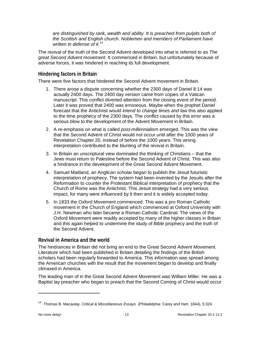*are distinguished by rank, wealth and ability. It is preached from pulpits both of the Scottish and English church. Noblemen and members of Parliament have written in defense of it.*[14](#page-14-2)

The revival of the truth of the Second Advent developed into what is referred to as *The great Second Advent movement*. It commenced in Britain, but unfortunately because of adverse forces, it was hindered in reaching its full development.

#### <span id="page-14-0"></span>**Hindering factors in Britain**

There were five factors that hindered the Second Advent movement in Britain.

- 1. There arose a dispute concerning whether the 2300 days of Daniel 8:14 was actually 2400 days. The 2400 day version came from copies of a Vatican manuscript. This conflict diverted attention from the closing event of the period. Later it was proved that 2400 was erroneous. Maybe when the prophet Daniel forecast that the Antichrist would *intend to change times and law* this also applied to the time prophecy of the 2300 days. The conflict caused by this error was a serious blow to the development of the Advent Movement in Britain.
- 2. A re-emphasis on what is called *post-millennialism* emerged. This was the view that the Second Advent of Christ would not occur until after the 1000 years of Revelation Chapter 20, instead of before the 1000 years. This wrong interpretation contributed to the blunting of the revival in Britain.
- 3. In Britain an unscriptural view dominated the thinking of Christians that the Jews must return to Palestine before the Second Advent of Christ. This was also a hindrance in the development of the Great Second Advent Movement.
- 4. Samuel Maitland, an Anglican scholar began to publish the Jesuit futuristic interpretation of prophecy. The system had been invented by the Jesuits after the Reformation to counter the Protestant Biblical interpretation of prophecy that the Church of Rome was the Antichrist. This Jesuit strategy had a very serious impact, for many were influenced by it then and it is widely accepted today.
- 5. In 1833 the Oxford Movement commenced. This was a pro Roman Catholic movement in the Church of England which commenced at Oxford University with J.H. Newman who later became a Roman Catholic Cardinal. The views of the Oxford Movement were readily accepted by many of the higher classes in Britain and this again helped to undermine the study of Bible prophecy and the truth of the Second Advent.

#### <span id="page-14-1"></span>**Revival in America and the world**

The hindrances in Britain did not bring an end to the Great Second Advent Movement. Literature which had been published in Britain detailing the findings of the British scholars had been regularly forwarded to America. This information was spread among the American churches with the result that the movement began to develop and finally climaxed in America.

The leading man of in the Great Second Advent Movement was William Miller. He was a Baptist lay preacher who began to preach that the Second Coming of Christ would occur

<span id="page-14-2"></span><sup>14</sup> Thomas B. Macaulay, *Critical & Miscellaneous Essays* (Philadelphia: Carey and Hart, 1844), 5:324.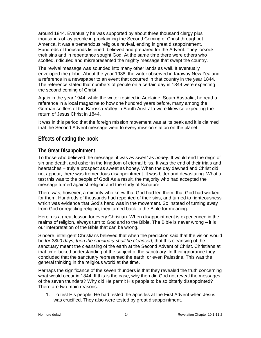around 1844. Eventually he was supported by about three thousand clergy plus thousands of lay people in proclaiming the Second Coming of Christ throughout America. It was a tremendous religious revival, ending in great disappointment. Hundreds of thousands listened, believed and prepared for the Advent. They forsook their sins and in repentance sought God. At the same time there were others who scoffed, ridiculed and misrepresented the mighty message that swept the country.

The revival message was sounded into many other lands as well. It eventually enveloped the globe. About the year 1938, the writer observed in faraway New Zealand a reference in a newspaper to an event that occurred in that country in the year 1844. The reference stated that numbers of people on a certain day in 1844 were expecting the second coming of Christ.

Again in the year 1944, while the writer resided in Adelaide, South Australia, he read a reference in a local magazine to how one hundred years before, many among the German settlers of the Barossa Valley in South Australia were likewise expecting the return of Jesus Christ in 1844.

It was in this period that the foreign mission movement was at its peak and it is claimed that the Second Advent message went to every mission station on the planet.

#### <span id="page-15-0"></span>**Effects of eating the book**

#### <span id="page-15-1"></span>**The Great Disappointment**

To those who believed the message, it was *as sweet as honey*. It would end the reign of sin and death, and usher in the kingdom of eternal bliss. It was the end of their trials and heartaches – truly a prospect as sweet as honey. When the day dawned and Christ did not appear, there was tremendous disappointment. It was bitter and devastating. What a test this was to the people of God! As a result, the majority who had accepted the message turned against religion and the study of Scripture.

There was, however, a minority who knew that God had led them, that God had worked for them. Hundreds of thousands had repented of their sins, and turned to righteousness which was evidence that God's hand was in the movement. So instead of turning away from God or rejecting religion, they turned back to the Bible for meaning.

Herein is a great lesson for every Christian. When disappointment is experienced in the realms of religion, always turn to God and to the Bible. The Bible is never wrong – it is our interpretation of the Bible that can be wrong.

Sincere, intelligent Christians believed that when the prediction said that the vision would be *for 2300 days; then the sanctuary shall be cleansed*, that this cleansing of the sanctuary meant the cleansing of the earth at the Second Advent of Christ. Christians at that time lacked understanding of the subject of the sanctuary. In their ignorance they concluded that the sanctuary represented the earth, or even Palestine. This was the general thinking in the religious world at the time.

Perhaps the significance of the seven thunders is that they revealed the truth concerning what would occur in 1844. If this is the case, why then did God not reveal the messages of the seven thunders? Why did He permit His people to be so bitterly disappointed? There are two main reasons:

1. To test His people. He had tested the apostles at the First Advent when Jesus was crucified. They also were tested by great disappointment.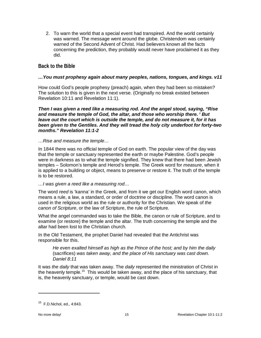2. To warn the world that a special event had transpired. And the world certainly was warned. The message went around the globe. Christendom was certainly warned of the Second Advent of Christ. Had believers known all the facts concerning the prediction, they probably would never have proclaimed it as they did.

#### <span id="page-16-0"></span>**Back to the Bible**

#### *…You must prophesy again about many peoples, nations, tongues, and kings. v11*

How could God's people prophesy (preach) again, when they had been so mistaken? The solution to this is given in the next verse. (Originally no break existed between Revelation 10:11 and Revelation 11:1).

*Then I was given a reed like a measuring rod. And the angel stood, saying, "Rise and measure the temple of God, the altar, and those who worship there. 2 But leave out the court which is outside the temple, and do not measure it, for it has been given to the Gentiles. And they will tread the holy city underfoot for forty-two months." Revelation 11:1-2*

#### *…Rise and measure the temple…*

In 1844 there was no official temple of God on earth. The popular view of the day was that the temple or sanctuary represented the earth or maybe Palestine. God's people were in darkness as to what the temple signified. They knew that there had been Jewish temples – Solomon's temple and Herod's temple. The Greek word for *measure*, when it is applied to a building or object, means to preserve or restore it. The truth of the temple is to be restored.

#### *…I was given a reed like a measuring rod…*

The word *reed* is 'kanna' in the Greek, and from it we get our English word canon, which means a rule, a law, a standard, or order of doctrine or discipline. The word canon is used in the religious world as the rule or authority for the Christian. We speak of *the canon of Scripture*, or the law of Scripture, the rule of Scripture.

What the angel commanded was to take the Bible, the canon or rule of Scripture, and to examine (or restore) the temple and the altar. The truth concerning the temple and the altar had been lost to the Christian church.

In the Old Testament, the prophet Daniel had revealed that the Antichrist was responsible for this.

*He even exalted himself as high as the Prince of the host; and by him the daily*  (sacrifices) *was taken away, and the place of His sanctuary was cast down. Daniel 8:11*

It was *the daily* that was taken away. The *daily* represented the ministration of Christ in the heavenly temple.<sup>[15](#page-16-1)</sup> This would be taken away, and the place of his sanctuary, that is, the heavenly sanctuary, or temple, would be cast down.

<span id="page-16-1"></span> $15$  F.D. Nichol, ed., 4:843.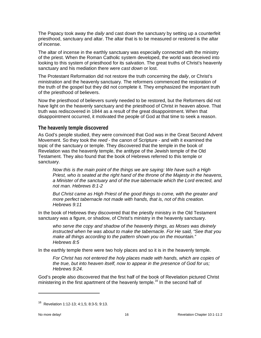The Papacy took away the *daily* and cast down the sanctuary by setting up a counterfeit priesthood, sanctuary and altar. The altar that is to be measured or restored is the altar of incense.

The altar of incense in the earthly sanctuary was especially connected with the ministry of the priest. When the Roman Catholic system developed, the world was deceived into looking to this system of priesthood for its salvation. The great truths of Christ's heavenly sanctuary and his mediation there were *cast down* or lost.

The Protestant Reformation did not restore the truth concerning the *daily*, or Christ's ministration and the heavenly sanctuary. The reformers commenced the restoration of the truth of the gospel but they did not complete it. They emphasized the important truth of the priesthood of believers.

Now the priesthood of believers surely needed to be restored, but the Reformers did not have light on the heavenly sanctuary and the priesthood of Christ in heaven above. That truth was rediscovered in 1844 as a result of the great disappointment. When that disappointment occurred, it motivated the people of God at that time to seek a reason.

#### <span id="page-17-0"></span>**The heavenly temple discovered**

As God's people studied, they were convinced that God was in the Great Second Advent Movement. So they took the *reed* - the canon of Scripture - and with it examined the topic of the sanctuary or temple. They discovered that the temple in the book of Revelation was the heavenly temple, the antitype of the Jewish temple of the Old Testament. They also found that the book of Hebrews referred to this temple or sanctuary.

*Now this is the main point of the things we are saying: We have such a High Priest, who is seated at the right hand of the throne of the Majesty in the heavens, a Minister of the sanctuary and of the true tabernacle which the Lord erected, and not man. Hebrews 8:1-2*

*But Christ came as High Priest of the good things to come, with the greater and more perfect tabernacle not made with hands, that is, not of this creation. Hebrews 9:11*

In the book of Hebrews they discovered that the priestly ministry in the Old Testament sanctuary was a figure, or shadow, of Christ's ministry in the heavenly sanctuary.

*who serve the copy and shadow of the heavenly things, as Moses was divinely instructed when he was about to make the tabernacle. For He said, "See that you make all things according to the pattern shown you on the mountain." Hebrews 8:5* 

In the earthly temple there were two holy places and so it is in the heavenly temple.

*For Christ has not entered the holy places made with hands, which are copies of the true, but into heaven itself, now to appear in the presence of God for us; Hebrews 9:24.*

God's people also discovered that the first half of the book of Revelation pictured Christ ministering in the first apartment of the heavenly temple.<sup>[16](#page-17-1)</sup> In the second half of

<span id="page-17-1"></span><sup>16</sup> Revelation 1:12-13; 4:1,5; 8:3-5; 9:13.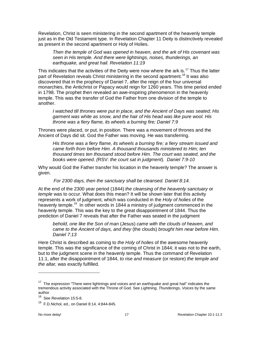Revelation, Christ is seen ministering in the second apartment of the heavenly temple just as in the Old Testament type. In Revelation Chapter 11 Deity is distinctively revealed as present in the second apartment or Holy of Holies.

*Then the temple of God was opened in heaven, and the ark of His covenant was seen in His temple. And there were lightnings, noises, thunderings, an earthquake, and great hail. Revelation 11:19*

This indicates that the activities of the Deity were now where the ark is.<sup>[17](#page-18-0)</sup> Thus the latter part of Revelation reveals Christ ministering in the second apartment.<sup>[18](#page-18-1)</sup> It was also discovered that in the prophecy of Daniel 7, after the reign of the four universal monarchies, the Antichrist or Papacy would reign for 1260 years. This time period ended in 1798. The prophet then revealed an awe-inspiring phenomenon in the heavenly temple. This was the transfer of God the Father from one division of the temple to another.

*I watched till thrones were put in place, and the Ancient of Days was seated; His garment was white as snow, and the hair of His head was like pure wool. His throne was a fiery flame, its wheels a burning fire; Daniel 7:9*

Thrones were placed, or put, in position. There was a movement of thrones and the Ancient of Days did sit. God the Father was moving. He was transferring.

*His throne was a fiery flame, its wheels a burning fire; a fiery stream issued and came forth from before Him. A thousand thousands ministered to Him; ten thousand times ten thousand stood before Him. The court was seated, and the books were opened. (*RSV: *the court sat in judgment*)*. Daniel 7:9-10*

Why would God the Father transfer his location in the heavenly temple? The answer is given.

*For 2300 days, then the sanctuary shall be cleansed. Daniel 8:14.*

At the end of the 2300 year period (1844) *the cleansing of the heavenly sanctuary* or *temple* was to occur. What does this mean? It will be shown later that this activity represents a work of judgment, which was conducted in the *Holy of holies* of the heavenly temple.<sup>19</sup> In other words in 1844 a ministry of judgment commenced in the heavenly temple. This was the key to the great disappointment of 1844. Thus the prediction of Daniel 7 reveals that after the Father was seated in the judgment

*behold, one like the Son of man* (Jesus) *came with the clouds of heaven, and came to the Ancient of days, and they* (the clouds) *brought him near before Him. Daniel 7:13*

Here Christ is described as coming to *the Holy of holies* of the awesome heavenly temple. This was the significance of the coming of Christ in 1844; it was not to the earth, but to the judgment scene in the heavenly temple. Thus the command of Revelation 11:1, after the disappointment of 1844, *to rise and measure* (or restore) *the temple and the altar,* was exactly fulfilled.

<span id="page-18-0"></span><sup>&</sup>lt;sup>17</sup> The expression "There were lightnings and voices and an earthquake and great hail" indicates the tremendous activity associated with the Throne of God. See *Lightning, Thunderings, Voices* by the same author.

<span id="page-18-1"></span><sup>&</sup>lt;sup>18</sup> See Revelation 15:5-8.

<span id="page-18-2"></span><sup>19</sup> F.D.Nichol, ed., on Daniel 8:14, 4:844-845.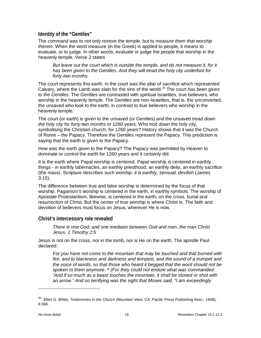#### <span id="page-19-0"></span>**Identity of the "Gentiles"**

The command was to not only *restore the temple*, but to *measure them that worship therein*. When the word *measure* (in the Greek) is applied to people, it means to evaluate, or to judge. In other words, evaluate or judge the people that worship in the heavenly temple. Verse 2 states

*But leave out the court which is outside the temple, and do not measure it, for it has been given to the Gentiles. And they will tread the holy city underfoot for forty-two months.*

The court represents this earth. In the court was the altar of sacrifice which represented Calvary, where the Lamb was slain for the sins of the world.<sup>[20](#page-19-2)</sup> The court *has been given to the Gentiles*. The Gentiles are contrasted with spiritual Israelites, true believers, who worship in the heavenly temple. The Gentiles are non-Israelites, that is, the unconverted, the unsaved who look to the earth, in contrast to true believers who worship in the heavenly temple.

The court (or earth) is given to the unsaved (or Gentiles) and the unsaved *tread down the holy city for forty-two months* or 1260 years. Who trod down the holy city, symbolising the Christian church, for 1260 years? History shows that it was the Church of Rome – the Papacy. Therefore the Gentiles represent the Papacy. This prediction is saying that the earth is given to the Papacy.

How was the earth given to the Papacy? The Papacy was permitted by Heaven to dominate or control the earth for 1260 years and it certainly did.

It is the earth where Papal worship is centered. Papal worship is centered in earthly things - in earthly tabernacles, an earthly priesthood, an earthly deity, an earthly sacrifice (the mass). Scripture describes such worship: *it is earthly, sensual, devilish* (James 3:15).

The difference between true and false worship is determined by the focus of that worship. Paganism's worship is centered in the earth, in earthly symbols. The worship of Apostate Protestantism, likewise, is centered in the earth, on the cross, burial and resurrection of Christ. But the center of true worship is where Christ is. The faith and devotion of believers must focus on Jesus, wherever He is now.

#### <span id="page-19-1"></span>**Christ's intercessory role revealed**

*There is one God, and one mediator between God and men, the man Christ Jesus. 1 Timothy 2:5*

Jesus is not on the cross, nor in the tomb, nor is He on the earth. The apostle Paul declared:

For you have not come to the mountain that may be touched and that burned with *fire, and to blackness and darkness and tempest, and the sound of a trumpet and the voice of words, so that those who heard it begged that the word should not be spoken to them anymore. <sup>20</sup> (For they could not endure what was commanded: "And if so much as a beast touches the mountain, it shall be stoned or shot with an arrow." And so terrifying was the sight that Moses said, "I am exceedingly* 

<span id="page-19-2"></span><sup>20</sup> Ellen G. White, *Testimonies to the Church* (Mountain View, CA: Pacific Press Publishing Assn., 1948), 6:366.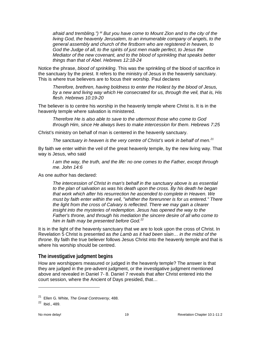*afraid and trembling.") <sup>22</sup> But you have come to Mount Zion and to the city of the living God, the heavenly Jerusalem, to an innumerable company of angels, to the general assembly and church of the firstborn who are registered in heaven, to God the Judge of all, to the spirits of just men made perfect, to Jesus the Mediator of the new covenant, and to the blood of sprinkling that speaks better things than that of Abel. Hebrews 12:18-24*

Notice the phrase, *blood of sprinkling*. This was the sprinkling of the blood of sacrifice in the sanctuary by the priest. It refers to the ministry of Jesus in the heavenly sanctuary. This is where true believers are to focus their worship. Paul declares

*Therefore, brethren, having boldness to enter the Holiest by the blood of Jesus, by a new and living way which He consecrated for us, through the veil, that is, His flesh. Hebrews 10:19-20*

The believer is to centre his worship in the heavenly temple where Christ is. It is in the heavenly temple where salvation is ministered.

*Therefore He is also able to save to the uttermost those who come to God through Him, since He always lives to make intercession for them. Hebrews 7:25*

Christ's ministry on behalf of man is centered in the heavenly sanctuary.

*The sanctuary in heaven is the very centre of Christ's work in behalf of men.[21](#page-20-1)*

By faith we enter within the veil of the great heavenly temple, by the new living way. That way is Jesus, who said

*I am the way, the truth, and the life: no one comes to the Father, except through me. John 14:6*

As one author has declared:

*The intercession of Christ in man's behalf in the sanctuary above is as essential to the plan of salvation as was his death upon the cross. By his death he began that work which after his resurrection he ascended to complete in Heaven. We must by faith enter within the veil, "whither the forerunner is for us entered." There the light from the cross of Calvary is reflected. There we may gain a clearer insight into the mysteries of redemption. Jesus has opened the way to the Father's throne, and through his mediation the sincere desire of all who come to him in faith may be presented before God.[22](#page-20-2)*

It is in the light of the heavenly sanctuary that we are to look upon the cross of Christ. In Revelation 5 Christ is presented as *the Lamb as it had been slain… in the midst of the throne*. By faith the true believer follows Jesus Christ into the heavenly temple and that is where his worship should be centred.

#### <span id="page-20-0"></span>**The investigative judgment begins**

How are worshippers measured or judged in the heavenly temple? The answer is that they are judged in the pre-advent judgment, or the investigative judgment mentioned above and revealed in Daniel 7- 8. Daniel 7 reveals that after Christ entered into the court session, where the Ancient of Days presided, that…

<span id="page-20-1"></span><sup>21</sup> Ellen G. White, *The Great Controversy*, 488.

<span id="page-20-2"></span> $22$  Ibid., 489.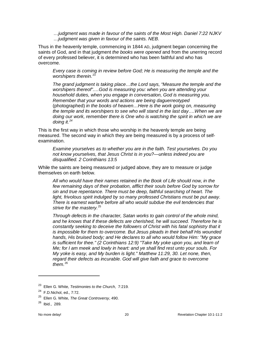*…judgment was made in favour of the saints of the Most High. Daniel 7:22 NJKV …judgment was given in favour of the saints. NEB.*

Thus in the heavenly temple, commencing in 1844 AD, judgment began concerning the saints of God, and in that judgment *the books were opened* and from the unerring record of every professed believer, it is determined who has been faithful and who has overcome.

*Every case is coming in review before God; He is measuring the temple and the worshipers therein.*[23](#page-21-0)

*The grand judgment is taking place…the Lord says, "Measure the temple and the worshipers thereof".…God is measuring you: when you are attending your household duties, when you engage in conversation, God is measuring you. Remember that your words and actions are being daguerreotyped*  (photographed) *in the books of heaven…Here is the work going on, measuring the temple and its worshipers to see who will stand in the last day….When we are doing our work, remember there is One who is watching the spirit in which we are doing it.[24](#page-21-1)*

This is the first way in which those who worship in the heavenly temple are being measured. The second way in which they are being measured is by a process of selfexamination.

*Examine yourselves as to whether you are in the faith. Test yourselves. Do you not know yourselves, that Jesus Christ is in you?—unless indeed you are disqualified. 2 Corinthians 13:5* 

While the saints are being measured or judged above, they are to measure or judge themselves on earth below.

*All who would have their names retained in the Book of Life should now, in the*  few remaining days of their probation, afflict their souls before God by sorrow for *sin and true repentance. There must be deep, faithful searching of heart. The*  light, frivolous spirit indulged by so many professed Christians must be put away. *There is earnest warfare before all who would subdue the evil tendencies that strive for the mastery.*[25](#page-21-2)

*Through defects in the character, Satan works to gain control of the whole mind, and he knows that if these defects are cherished, he will succeed. Therefore he is constantly seeking to deceive the followers of Christ with his fatal sophistry that it is impossible for them to overcome. But Jesus pleads in their behalf His wounded hands, His bruised body; and He declares to all who would follow Him: "My grace is sufficient for thee." (2 Corinthians 12:9) "Take My yoke upon you, and learn of Me; for I am meek and lowly in heart: and ye shall find rest unto your souls. For My yoke is easy, and My burden is light." Matthew 11:29, 30. Let none, then, regard their defects as incurable. God will give faith and grace to overcome them.*[26](#page-21-3)

<span id="page-21-0"></span><sup>23</sup> Ellen G. White, *Testimonies to the Church*, 7:219.

<span id="page-21-1"></span> $24$  F.D. Nichol, ed., 7:72.

<span id="page-21-2"></span><sup>25</sup> Ellen G. White, *The Great Controversy*, 490.

<span id="page-21-3"></span> $26$  Ibid., 289.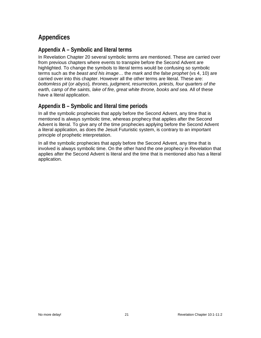# <span id="page-22-0"></span>**Appendices**

#### <span id="page-22-1"></span>**Appendix A – Symbolic and literal terms**

In Revelation Chapter 20 several symbolic terms are mentioned. These are carried over from previous chapters where events to transpire before the Second Advent are highlighted. To change the symbols to literal terms would be confusing so symbolic terms such as the *beast and his image…* the *mark* and the *false prophet* (vs 4, 10) are carried over into this chapter. However all the other terms are literal. These are: *bottomless pit* (*or abyss*)*, thrones, judgment, resurrection, priests, four quarters of the earth, camp of the saints, lake of fire, great white throne, books and sea.* All of these have a literal application.

### <span id="page-22-2"></span>**Appendix B – Symbolic and literal time periods**

In all the symbolic prophecies that apply before the Second Advent, any time that is mentioned is always symbolic time, whereas prophecy that applies after the Second Advent is literal. To give any of the time prophecies applying before the Second Advent a literal application, as does the Jesuit Futuristic system, is contrary to an important principle of prophetic interpretation.

In all the symbolic prophecies that apply before the Second Advent, any time that is involved is always symbolic time. On the other hand the one prophecy in Revelation that applies after the Second Advent is literal and the time that is mentioned also has a literal application.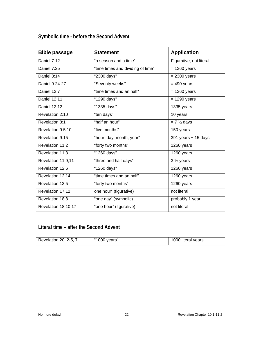<span id="page-23-0"></span>**Symbolic time - before the Second Advent**

| <b>Bible passage</b> | <b>Statement</b>                  | <b>Application</b>      |
|----------------------|-----------------------------------|-------------------------|
| Daniel $7:12$        | "a season and a time"             | Figurative, not literal |
| Daniel 7:25          | "time times and dividing of time" | $= 1260$ years          |
| Daniel 8:14          | "2300 days"                       | $= 2300$ years          |
| Daniel 9:24-27       | "Seventy weeks"                   | $= 490$ years           |
| Daniel 12:7          | "time times and an half"          | $= 1260$ years          |
| <b>Daniel 12:11</b>  | "1290 days"                       | $= 1290$ years          |
| <b>Daniel 12:12</b>  | "1335 days"                       | 1335 years              |
| Revelation 2:10      | "ten days"                        | 10 years                |
| Revelation 8:1       | "half an hour"                    | $= 7 \frac{1}{2}$ days  |
| Revelation 9:5,10    | "five months"                     | 150 years               |
| Revelation 9:15      | "hour, day, month, year"          | 391 years + 15 days     |
| Revelation 11:2      | "forty two months"                | 1260 years              |
| Revelation 11:3      | "1260 days"                       | 1260 years              |
| Revelation 11:9,11   | "three and half days"             | $3\frac{1}{2}$ years    |
| Revelation 12:6      | "1260 days"                       | 1260 years              |
| Revelation 12:14     | "time times and an half"          | 1260 years              |
| Revelation 13:5      | "forty two months"                | 1260 years              |
| Revelation 17:12     | one hour" (figurative)            | not literal             |
| Revelation 18:8      | "one day" (symbolic)              | probably 1 year         |
| Revelation 18:10,17  | "one hour" (figurative)           | not literal             |

## <span id="page-23-1"></span>**Literal time – after the Second Advent**

| Revelation 20: 2-5, 7 | "1000 years" | 1000 literal years |
|-----------------------|--------------|--------------------|